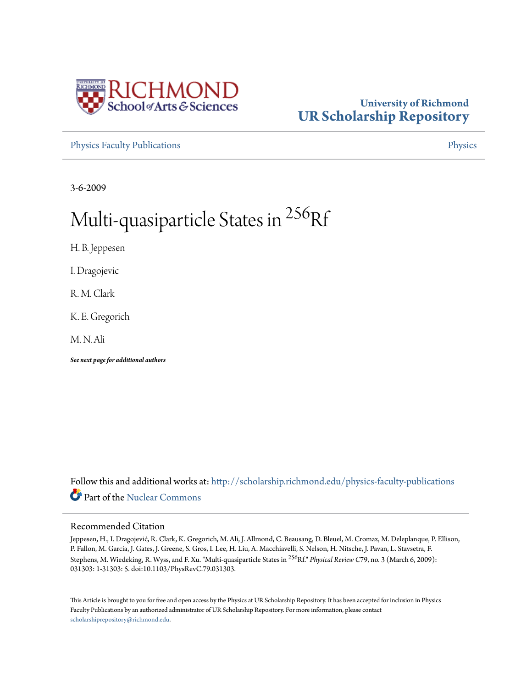

## **University of Richmond [UR Scholarship Repository](http://scholarship.richmond.edu?utm_source=scholarship.richmond.edu%2Fphysics-faculty-publications%2F52&utm_medium=PDF&utm_campaign=PDFCoverPages)**

[Physics Faculty Publications](http://scholarship.richmond.edu/physics-faculty-publications?utm_source=scholarship.richmond.edu%2Fphysics-faculty-publications%2F52&utm_medium=PDF&utm_campaign=PDFCoverPages) **[Physics](http://scholarship.richmond.edu/physics?utm_source=scholarship.richmond.edu%2Fphysics-faculty-publications%2F52&utm_medium=PDF&utm_campaign=PDFCoverPages)** 

3-6-2009

# Multi-quasiparticle States in <sup>256</sup>Rf

H. B. Jeppesen

I. Dragojevic

R. M. Clark

K. E. Gregorich

M. N. Ali

*See next page for additional authors*

Follow this and additional works at: [http://scholarship.richmond.edu/physics-faculty-publications](http://scholarship.richmond.edu/physics-faculty-publications?utm_source=scholarship.richmond.edu%2Fphysics-faculty-publications%2F52&utm_medium=PDF&utm_campaign=PDFCoverPages) Part of the [Nuclear Commons](http://network.bepress.com/hgg/discipline/203?utm_source=scholarship.richmond.edu%2Fphysics-faculty-publications%2F52&utm_medium=PDF&utm_campaign=PDFCoverPages)

### Recommended Citation

Jeppesen, H., I. Dragojević, R. Clark, K. Gregorich, M. Ali, J. Allmond, C. Beausang, D. Bleuel, M. Cromaz, M. Deleplanque, P. Ellison, P. Fallon, M. Garcia, J. Gates, J. Greene, S. Gros, I. Lee, H. Liu, A. Macchiavelli, S. Nelson, H. Nitsche, J. Pavan, L. Stavsetra, F. Stephens, M. Wiedeking, R. Wyss, and F. Xu. "Multi-quasiparticle States in <sup>256</sup>Rf." *Physical Review C*79, no. 3 (March 6, 2009): 031303: 1-31303: 5. doi:10.1103/PhysRevC.79.031303.

This Article is brought to you for free and open access by the Physics at UR Scholarship Repository. It has been accepted for inclusion in Physics Faculty Publications by an authorized administrator of UR Scholarship Repository. For more information, please contact [scholarshiprepository@richmond.edu.](mailto:scholarshiprepository@richmond.edu)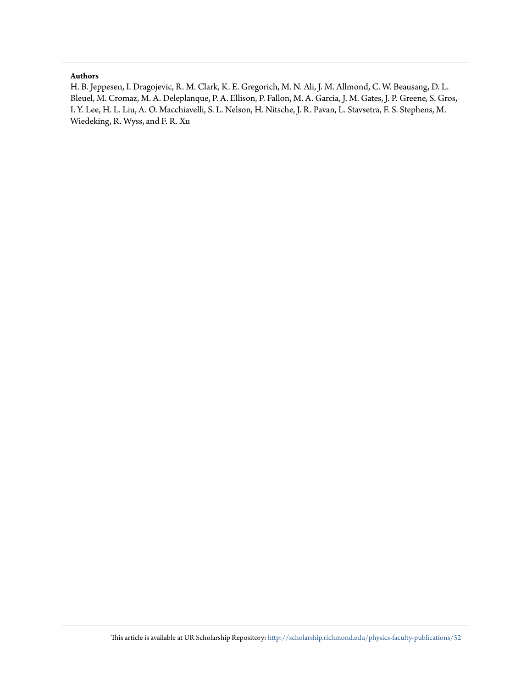#### **Authors**

H. B. Jeppesen, I. Dragojevic, R. M. Clark, K. E. Gregorich, M. N. Ali, J. M. Allmond, C. W. Beausang, D. L. Bleuel, M. Cromaz, M. A. Deleplanque, P. A. Ellison, P. Fallon, M. A. Garcia, J. M. Gates, J. P. Greene, S. Gros, I. Y. Lee, H. L. Liu, A. O. Macchiavelli, S. L. Nelson, H. Nitsche, J. R. Pavan, L. Stavsetra, F. S. Stephens, M. Wiedeking, R. Wyss, and F. R. Xu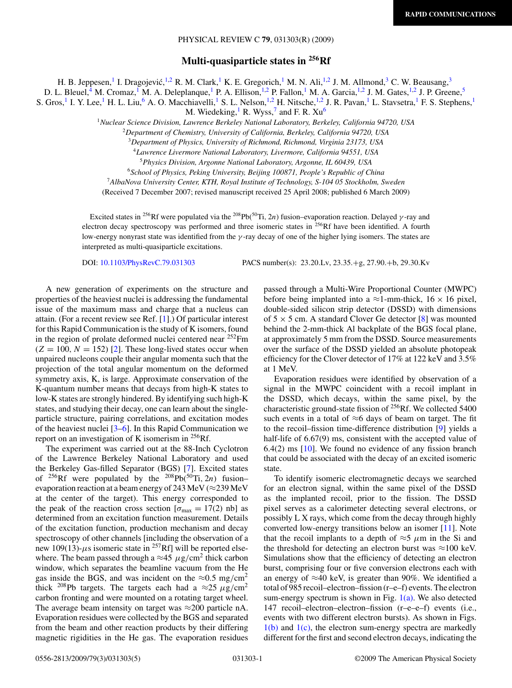#### PHYSICAL REVIEW C **79**, 031303(R) (2009)

**Multi-quasiparticle states in 256Rf**

H. B. Jeppesen,<sup>1</sup> I. Dragojević,<sup>1,2</sup> R. M. Clark,<sup>1</sup> K. E. Gregorich,<sup>1</sup> M. N. Ali,<sup>1,2</sup> J. M. Allmond,<sup>3</sup> C. W. Beausang,<sup>3</sup>

D. L. Bleuel,<sup>4</sup> M. Cromaz,<sup>1</sup> M. A. Deleplanque,<sup>1</sup> P. A. Ellison,<sup>1,2</sup> P. Fallon,<sup>1</sup> M. A. Garcia,<sup>1,2</sup> J. M. Gates,<sup>1,2</sup> J. P. Greene,<sup>5</sup>

S. Gros,<sup>1</sup> I. Y. Lee,<sup>1</sup> H. L. Liu,<sup>6</sup> A. O. Macchiavelli,<sup>1</sup> S. L. Nelson,<sup>1,2</sup> H. Nitsche,<sup>1,2</sup> J. R. Pavan,<sup>1</sup> L. Stavsetra,<sup>1</sup> F. S. Stephens,<sup>1</sup>

M. Wiedeking,  $R$ . Wyss, and F. R. Xu<sup>6</sup>

<sup>1</sup>*Nuclear Science Division, Lawrence Berkeley National Laboratory, Berkeley, California 94720, USA*

<sup>2</sup>*Department of Chemistry, University of California, Berkeley, California 94720, USA*

<sup>3</sup>*Department of Physics, University of Richmond, Richmond, Virginia 23173, USA*

<sup>4</sup>*Lawrence Livermore National Laboratory, Livermore, California 94551, USA*

<sup>5</sup>*Physics Division, Argonne National Laboratory, Argonne, IL 60439, USA*

<sup>6</sup>*School of Physics, Peking University, Beijing 100871, People's Republic of China*

<sup>7</sup>*AlbaNova University Center, KTH, Royal Institute of Technology, S-104 05 Stockholm, Sweden*

(Received 7 December 2007; revised manuscript received 25 April 2008; published 6 March 2009)

Excited states in 256Rf were populated via the 208Pb(50Ti*,* 2*n*) fusion–evaporation reaction. Delayed *γ* -ray and electron decay spectroscopy was performed and three isomeric states in <sup>256</sup>Rf have been identified. A fourth low-energy nonyrast state was identified from the *γ* -ray decay of one of the higher lying isomers. The states are interpreted as multi-quasiparticle excitations.

DOI: [10.1103/PhysRevC.79.031303](http://dx.doi.org/10.1103/PhysRevC.79.031303) PACS number(s): 23*.*20*.*Lv, 23*.*35*.*+g, 27*.*90*.*+b, 29*.*30*.*Kv

A new generation of experiments on the structure and properties of the heaviest nuclei is addressing the fundamental issue of the maximum mass and charge that a nucleus can attain. (For a recent review see Ref. [\[1\]](#page-6-0).) Of particular interest for this Rapid Communication is the study of K isomers, found in the region of prolate deformed nuclei centered near 252Fm  $(Z = 100, N = 152)$  [\[2\]](#page-6-0). These long-lived states occur when unpaired nucleons couple their angular momenta such that the projection of the total angular momentum on the deformed symmetry axis, K, is large. Approximate conservation of the K-quantum number means that decays from high-K states to low-K states are strongly hindered. By identifying such high-K states, and studying their decay, one can learn about the singleparticle structure, pairing correlations, and excitation modes of the heaviest nuclei [\[3–6\]](#page-6-0). In this Rapid Communication we report on an investigation of K isomerism in  $^{256}$ Rf.

The experiment was carried out at the 88-Inch Cyclotron of the Lawrence Berkeley National Laboratory and used the Berkeley Gas-filled Separator (BGS) [\[7\]](#page-6-0). Excited states of <sup>256</sup>Rf were populated by the <sup>208</sup>Pb( $\frac{50}{T}$ i, 2*n*) fusion– evaporation reaction at a beam energy of 243 MeV ( $\approx$ 239 MeV at the center of the target). This energy corresponded to the peak of the reaction cross section  $[\sigma_{\text{max}} = 17(2)$  nb] as determined from an excitation function measurement. Details of the excitation function, production mechanism and decay spectroscopy of other channels [including the observation of a new 109(13)- $\mu$ s isomeric state in <sup>257</sup>Rf] will be reported elsewhere. The beam passed through a  $\approx$ 45  $\mu$ g/cm<sup>2</sup> thick carbon window, which separates the beamline vacuum from the He gas inside the BGS, and was incident on the  $\approx 0.5$  mg/cm<sup>2</sup> thick <sup>208</sup>Pb targets. The targets each had a  $\approx$  25  $\mu$ g/cm<sup>2</sup> carbon fronting and were mounted on a rotating target wheel. The average beam intensity on target was  $\approx$ 200 particle nA. Evaporation residues were collected by the BGS and separated from the beam and other reaction products by their differing magnetic rigidities in the He gas. The evaporation residues

passed through a Multi-Wire Proportional Counter (MWPC) before being implanted into a  $\approx$ 1-mm-thick, 16  $\times$  16 pixel, double-sided silicon strip detector (DSSD) with dimensions of  $5 \times 5$  cm. A standard Clover Ge detector [\[8\]](#page-6-0) was mounted behind the 2-mm-thick Al backplate of the BGS focal plane, at approximately 5 mm from the DSSD. Source measurements over the surface of the DSSD yielded an absolute photopeak efficiency for the Clover detector of 17% at 122 keV and 3.5% at 1 MeV.

Evaporation residues were identified by observation of a signal in the MWPC coincident with a recoil implant in the DSSD, which decays, within the same pixel, by the characteristic ground-state fission of 256Rf. We collected 5400 such events in a total of  $\approx$ 6 days of beam on target. The fit to the recoil–fission time-difference distribution [\[9\]](#page-6-0) yields a half-life of 6.67(9) ms, consistent with the accepted value of  $6.4(2)$  ms  $[10]$ . We found no evidence of any fission branch that could be associated with the decay of an excited isomeric state.

To identify isomeric electromagnetic decays we searched for an electron signal, within the same pixel of the DSSD as the implanted recoil, prior to the fission. The DSSD pixel serves as a calorimeter detecting several electrons, or possibly L X rays, which come from the decay through highly converted low-energy transitions below an isomer [\[11\]](#page-6-0). Note that the recoil implants to a depth of  $\approx$ 5  $\mu$ m in the Si and the threshold for detecting an electron burst was  $\approx$ 100 keV. Simulations show that the efficiency of detecting an electron burst, comprising four or five conversion electrons each with an energy of  $\approx$ 40 keV, is greater than 90%. We identified a total of 985 recoil–electron–fission (r–e–f) events. The electron sum-energy spectrum is shown in Fig.  $1(a)$ . We also detected 147 recoil–electron–electron–fission (r–e–e–f) events (i.e., events with two different electron bursts). As shown in Figs.  $1(b)$  and  $1(c)$ , the electron sum-energy spectra are markedly different for the first and second electron decays, indicating the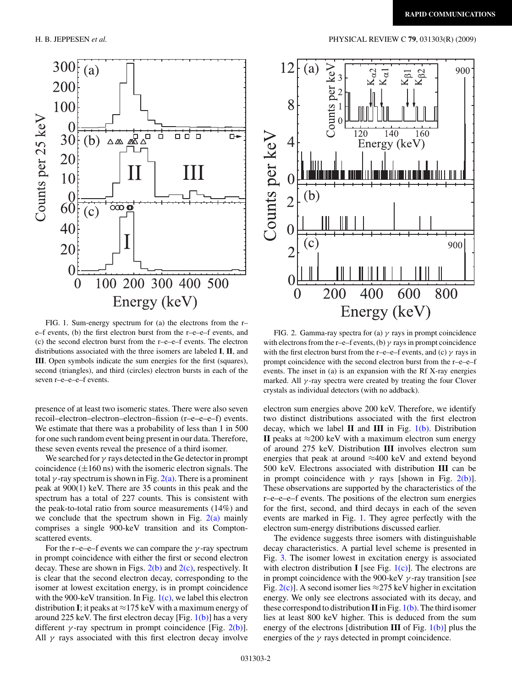

FIG. 1. Sum-energy spectrum for (a) the electrons from the r– e–f events, (b) the first electron burst from the r–e–e–f events, and (c) the second electron burst from the r–e–e–f events. The electron distributions associated with the three isomers are labeled **I**, **II**, and **III**. Open symbols indicate the sum energies for the first (squares), second (triangles), and third (circles) electron bursts in each of the seven r–e–e–e–f events.

presence of at least two isomeric states. There were also seven recoil–electron–electron–electron–fission (r–e–e–e–f) events. We estimate that there was a probability of less than 1 in 500 for one such random event being present in our data. Therefore, these seven events reveal the presence of a third isomer.

We searched for *γ* rays detected in the Ge detector in prompt coincidence  $(\pm 160 \text{ ns})$  with the isomeric electron signals. The total  $\gamma$ -ray spectrum is shown in Fig.  $2(a)$ . There is a prominent peak at 900(1) keV. There are 35 counts in this peak and the spectrum has a total of 227 counts. This is consistent with the peak-to-total ratio from source measurements (14%) and we conclude that the spectrum shown in Fig.  $2(a)$  mainly comprises a single 900-keV transition and its Comptonscattered events.

For the r–e–e–f events we can compare the *γ* -ray spectrum in prompt coincidence with either the first or second electron decay. These are shown in Figs.  $2(b)$  and  $2(c)$ , respectively. It is clear that the second electron decay, corresponding to the isomer at lowest excitation energy, is in prompt coincidence with the 900-keV transition. In Fig.  $1(c)$ , we label this electron distribution **I**; it peaks at  $\approx$  175 keV with a maximum energy of around 225 keV. The first electron decay [Fig.  $1(b)$ ] has a very different  $\gamma$ -ray spectrum in prompt coincidence [Fig. 2(b)]. All  $\gamma$  rays associated with this first electron decay involve

#### <span id="page-3-0"></span>H. B. JEPPESEN *et al.* PHYSICAL REVIEW C **79**, 031303(R) (2009)



FIG. 2. Gamma-ray spectra for (a) *γ* rays in prompt coincidence with electrons from the r–e–f events, (b)  $\gamma$  rays in prompt coincidence with the first electron burst from the r–e–e–f events, and (c) *γ* rays in prompt coincidence with the second electron burst from the r–e–e–f events. The inset in (a) is an expansion with the Rf X-ray energies marked. All  $\gamma$ -ray spectra were created by treating the four Clover crystals as individual detectors (with no addback).

electron sum energies above 200 keV. Therefore, we identify two distinct distributions associated with the first electron decay, which we label **II** and **III** in Fig. 1(b). Distribution **II** peaks at  $≈200$  keV with a maximum electron sum energy of around 275 keV. Distribution **III** involves electron sum energies that peak at around ≈400 keV and extend beyond 500 keV. Electrons associated with distribution **III** can be in prompt coincidence with  $\gamma$  rays [shown in Fig. 2(b)]. These observations are supported by the characteristics of the r–e–e–e–f events. The positions of the electron sum energies for the first, second, and third decays in each of the seven events are marked in Fig. 1. They agree perfectly with the electron sum-energy distributions discussed earlier.

The evidence suggests three isomers with distinguishable decay characteristics. A partial level scheme is presented in Fig. [3.](#page-4-0) The isomer lowest in excitation energy is associated with electron distribution **I** [see Fig.  $1(c)$ ]. The electrons are in prompt coincidence with the 900-keV *γ* -ray transition [see Fig. 2(c)]. A second isomer lies  $\approx$  275 keV higher in excitation energy. We only see electrons associated with its decay, and these correspond to distribution  $\Pi$  in Fig. 1(b). The third isomer lies at least 800 keV higher. This is deduced from the sum energy of the electrons [distribution **III** of Fig. 1(b)] plus the energies of the  $\gamma$  rays detected in prompt coincidence.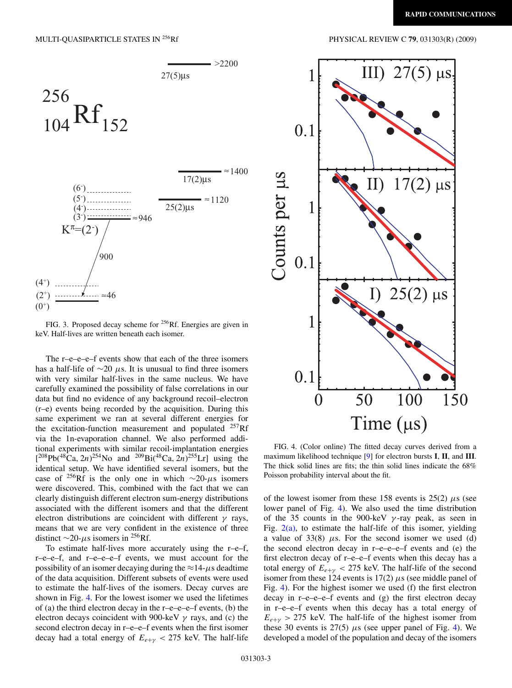<span id="page-4-0"></span>

FIG. 3. Proposed decay scheme for <sup>256</sup>Rf. Energies are given in keV. Half-lives are written beneath each isomer.

The r–e–e–e–f events show that each of the three isomers has a half-life of ∼20 *µ*s. It is unusual to find three isomers with very similar half-lives in the same nucleus. We have carefully examined the possibility of false correlations in our data but find no evidence of any background recoil–electron (r–e) events being recorded by the acquisition. During this same experiment we ran at several different energies for the excitation-function measurement and populated  $^{257}$ Rf via the 1n-evaporation channel. We also performed additional experiments with similar recoil-implantation energies  $[{}^{208}Pb({}^{48}Ca, 2n){}^{254}No$  and  ${}^{209}Bi({}^{48}Ca, 2n){}^{255}Cr]$  using the identical setup. We have identified several isomers, but the case of 256Rf is the only one in which <sup>∼</sup>20-*µ*s isomers were discovered. This, combined with the fact that we can clearly distinguish different electron sum-energy distributions associated with the different isomers and that the different electron distributions are coincident with different *γ* rays, means that we are very confident in the existence of three distinct <sup>∼</sup>20-*µ*s isomers in 256Rf.

To estimate half-lives more accurately using the r–e–f, r–e–e–f, and r–e–e–e–f events, we must account for the possibility of an isomer decaying during the  $\approx$ 14- $\mu$ s deadtime of the data acquisition. Different subsets of events were used to estimate the half-lives of the isomers. Decay curves are shown in Fig. 4. For the lowest isomer we used the lifetimes of (a) the third electron decay in the  $r-e-e-e$ – $f$  events, (b) the electron decays coincident with 900-keV *γ* rays, and (c) the second electron decay in r–e–e–f events when the first isomer decay had a total energy of  $E_{e+\gamma}$  < 275 keV. The half-life



FIG. 4. (Color online) The fitted decay curves derived from a maximum likelihood technique [\[9\]](#page-6-0) for electron bursts **I**, **II**, and **III**. The thick solid lines are fits; the thin solid lines indicate the 68% Poisson probability interval about the fit.

of the lowest isomer from these 158 events is  $25(2)$   $\mu$ s (see lower panel of Fig. 4). We also used the time distribution of the 35 counts in the 900-keV *γ* -ray peak, as seen in Fig.  $2(a)$ , to estimate the half-life of this isomer, yielding a value of  $33(8)$   $\mu$ s. For the second isomer we used (d) the second electron decay in r–e–e–e–f events and (e) the first electron decay of r–e–e–f events when this decay has a total energy of  $E_{e+\gamma}$  < 275 keV. The half-life of the second isomer from these 124 events is  $17(2)$   $\mu$ s (see middle panel of Fig. 4). For the highest isomer we used (f) the first electron decay in r–e–e–e–f events and (g) the first electron decay in r–e–e–f events when this decay has a total energy of  $E_{e+y}$  > 275 keV. The half-life of the highest isomer from these 30 events is  $27(5)$   $\mu$ s (see upper panel of Fig. 4). We developed a model of the population and decay of the isomers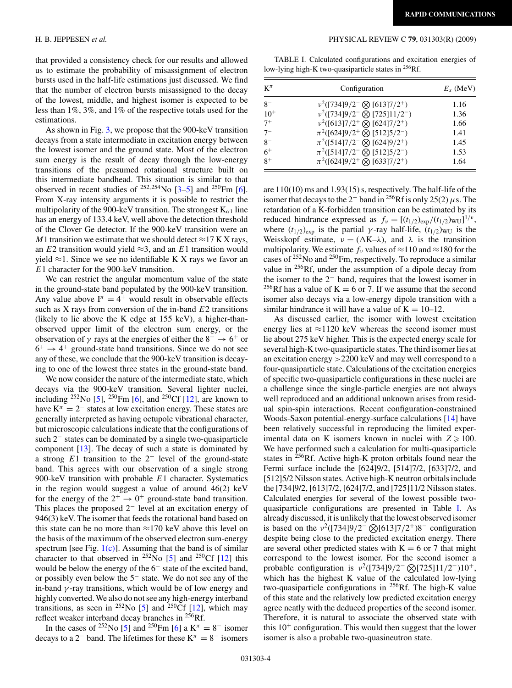that provided a consistency check for our results and allowed us to estimate the probability of misassignment of electron bursts used in the half-life estimations just discussed. We find that the number of electron bursts misassigned to the decay of the lowest, middle, and highest isomer is expected to be less than 1%, 3%, and 1% of the respective totals used for the estimations.

As shown in Fig. [3,](#page-4-0) we propose that the 900-keV transition decays from a state intermediate in excitation energy between the lowest isomer and the ground state. Most of the electron sum energy is the result of decay through the low-energy transitions of the presumed rotational structure built on this intermediate bandhead. This situation is similar to that observed in recent studies of  $^{252,254}$ No  $[3-5]$  and  $^{250}$ Fm  $[6]$ . From X-ray intensity arguments it is possible to restrict the multipolarity of the 900-keV transition. The strongest  $K_{\alpha 1}$  line has an energy of 133.4 keV, well above the detection threshold of the Clover Ge detector. If the 900-keV transition were an *M*1 transition we estimate that we should detect  $\approx$  17 K X rays, an  $E2$  transition would yield  $\approx$ 3, and an  $E1$  transition would yield  $≈1$ . Since we see no identifiable K X rays we favor an *E*1 character for the 900-keV transition.

We can restrict the angular momentum value of the state in the ground-state band populated by the 900-keV transition. Any value above  $I^{\pi} = 4^{+}$  would result in observable effects such as X rays from conversion of the in-band *E*2 transitions (likely to lie above the K edge at 155 keV), a higher-thanobserved upper limit of the electron sum energy, or the observation of  $\gamma$  rays at the energies of either the  $8^+ \rightarrow 6^+$  or  $6^+ \rightarrow 4^+$  ground-state band transitions. Since we do not see any of these, we conclude that the 900-keV transition is decaying to one of the lowest three states in the ground-state band.

We now consider the nature of the intermediate state, which decays via the 900-keV transition. Several lighter nuclei, including  $^{252}$ No [\[5\]](#page-6-0),  $^{250}$ Fm [\[6\]](#page-6-0), and  $^{250}$ Cf [\[12\]](#page-6-0), are known to have  $K^{\pi} = 2^-$  states at low excitation energy. These states are generally interpreted as having octupole vibrational character, but microscopic calculations indicate that the configurations of such 2<sup>−</sup> states can be dominated by a single two-quasiparticle component  $[13]$ . The decay of such a state is dominated by a strong  $E1$  transition to the  $2^+$  level of the ground-state band. This agrees with our observation of a single strong 900-keV transition with probable *E*1 character. Systematics in the region would suggest a value of around 46(2) keV for the energy of the  $2^+ \rightarrow 0^+$  ground-state band transition. This places the proposed 2<sup>−</sup> level at an excitation energy of 946(3) keV. The isomer that feeds the rotational band based on this state can be no more than  $\approx$ 170 keV above this level on the basis of the maximum of the observed electron sum-energy spectrum [see Fig.  $1(c)$ ]. Assuming that the band is of similar character to that observed in <sup>252</sup>No [\[5\]](#page-6-0) and <sup>250</sup>Cf [\[12\]](#page-6-0) this would be below the energy of the 6<sup>−</sup> state of the excited band, or possibly even below the 5<sup>−</sup> state. We do not see any of the in-band *γ* -ray transitions, which would be of low energy and highly converted. We also do not see any high-energy interband transitions, as seen in <sup>252</sup>No [\[5\]](#page-6-0) and <sup>250</sup>Cf [\[12\]](#page-6-0), which may reflect weaker interband decay branches in 256Rf.

In the cases of <sup>252</sup>No [\[5\]](#page-6-0) and <sup>250</sup>Fm [\[6\]](#page-6-0) a  $K^{\pi} = 8^{-}$  isomer decays to a 2<sup>−</sup> band. The lifetimes for these  $K^{\pi} = 8^{-}$  isomers

#### H. B. JEPPESEN *et al.* PHYSICAL REVIEW C **79**, 031303(R) (2009)

TABLE I. Calculated configurations and excitation energies of low-lying high-K two-quasiparticle states in  $^{256}$ Rf.

| $K^{\pi}$ | Configuration                                                   | $E_x$ (MeV) |
|-----------|-----------------------------------------------------------------|-------------|
| $8-$      | $v^2([734]9/2^- \otimes [613]7/2^+)$                            | 1.16        |
| $10^{+}$  | $v^2$ ([734]9/2 <sup>-</sup> $\otimes$ [725]11/2 <sup>-</sup> ) | 1.36        |
| $7^+$     | $v^2([613]7/2^+\otimes [624]7/2^+)$                             | 1.66        |
| $7^{-}$   | $\pi^2([624]9/2^+\otimes [512]5/2^-)$                           | 1.41        |
| $8-$      | $\pi^2([514]7/2^- \otimes [624]9/2^+)$                          | 1.45        |
| $6^{+}$   | $\pi^2([514]7/2^- \otimes [512]5/2^-)$                          | 1.53        |
| $R^+$     | $\pi^2([624]9/2^+\otimes [633]7/2^+)$                           | 1.64        |

are 110(10) ms and 1.93(15) s, respectively. The half-life of the isomer that decays to the 2<sup>-</sup> band in <sup>256</sup>Rf is only 25(2)  $\mu$ s. The retardation of a K-forbidden transition can be estimated by its reduced hindrance expressed as  $f_v = [(t_{1/2})_{exp}/(t_{1/2})_{WU}]^{1/\nu}$ , where  $(t_{1/2})_{\text{exp}}$  is the partial *γ*-ray half-life,  $(t_{1/2})_{\text{WU}}$  is the Weisskopf estimate,  $v = (\Delta K - \lambda)$ , and  $\lambda$  is the transition multipolarity. We estimate  $f_\nu$  values of  $\approx$ 110 and  $\approx$ 180 for the cases of 252No and 250Fm, respectively. To reproduce a similar value in 256Rf, under the assumption of a dipole decay from the isomer to the 2<sup>−</sup> band, requires that the lowest isomer in <sup>256</sup>Rf has a value of K = 6 or 7. If we assume that the second isomer also decays via a low-energy dipole transition with a similar hindrance it will have a value of  $K = 10-12$ .

As discussed earlier, the isomer with lowest excitation energy lies at  $\approx$ 1120 keV whereas the second isomer must lie about 275 keV higher. This is the expected energy scale for several high-K two-quasiparticle states. The third isomer lies at an excitation energy *>*2200 keV and may well correspond to a four-quasiparticle state. Calculations of the excitation energies of specific two-quasiparticle configurations in these nuclei are a challenge since the single-particle energies are not always well reproduced and an additional unknown arises from residual spin-spin interactions. Recent configuration-constrained Woods-Saxon potential-energy-surface calculations [\[14\]](#page-6-0) have been relatively successful in reproducing the limited experimental data on K isomers known in nuclei with  $Z \ge 100$ . We have performed such a calculation for multi-quasiparticle states in  ${}^{256}$ Rf. Active high-K proton orbitals found near the Fermi surface include the [624]9/2, [514]7/2, [633]7/2, and [512]5/2 Nilsson states. Active high-K neutron orbitals include the [734]9/2, [613]7/2, [624]7/2, and [725]11/2 Nilsson states. Calculated energies for several of the lowest possible twoquasiparticle configurations are presented in Table I. As already discussed, it is unlikely that the lowest observed isomer is based on the  $v^2$ ([734]9/2<sup>-</sup>  $\otimes$ [613]7/2<sup>+</sup>)8<sup>-</sup> configuration despite being close to the predicted excitation energy. There are several other predicted states with  $K = 6$  or 7 that might correspond to the lowest isomer. For the second isomer a probable configuration is *ν*2([734]9*/*2<sup>−</sup> [725]11*/*2−)10+, which has the highest K value of the calculated low-lying two-quasiparticle configurations in 256Rf. The high-K value of this state and the relatively low predicted excitation energy agree neatly with the deduced properties of the second isomer. Therefore, it is natural to associate the observed state with this  $10<sup>+</sup>$  configuration. This would then suggest that the lower isomer is also a probable two-quasineutron state.